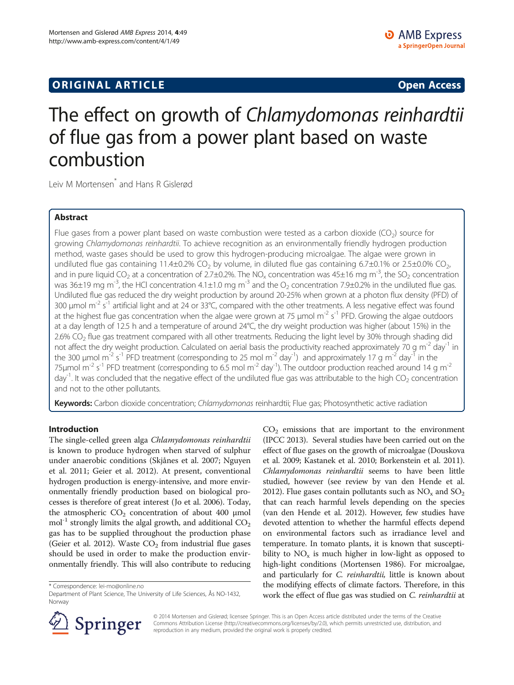# **ORIGINAL ARTICLE CONSUMING A LIGACION CONSUMING A LIGACION CONSUMING A LIGACION**

# The effect on growth of Chlamydomonas reinhardtii of flue gas from a power plant based on waste combustion

Leiv M Mortensen<sup>\*</sup> and Hans R Gislerød

# Abstract

Flue gases from a power plant based on waste combustion were tested as a carbon dioxide (CO<sub>2</sub>) source for growing Chlamydomonas reinhardtii. To achieve recognition as an environmentally friendly hydrogen production method, waste gases should be used to grow this hydrogen-producing microalgae. The algae were grown in undiluted flue gas containing 11.4±0.2% CO<sub>2</sub> by volume, in diluted flue gas containing 6.7±0.1% or 2.5±0.0% CO<sub>2</sub>, and in pure liquid CO<sub>2</sub> at a concentration of 2.7±0.2%. The NO<sub>x</sub> concentration was 45±16 mg m<sup>-3</sup>, the SO<sub>2</sub> concentration was 36±19 mg m<sup>-3</sup>, the HCl concentration 4.1±1.0 mg m<sup>-3</sup> and the O<sub>2</sub> concentration 7.9±0.2% in the undiluted flue gas. Undiluted flue gas reduced the dry weight production by around 20-25% when grown at a photon flux density (PFD) of 300 μmol m<sup>-2</sup> s<sup>-1</sup> artificial light and at 24 or 33°C, compared with the other treatments. A less negative effect was found at the highest flue gas concentration when the algae were grown at 75 µmol m<sup>-2</sup> s<sup>-1</sup> PFD. Growing the algae outdoors at a day length of 12.5 h and a temperature of around 24°C, the dry weight production was higher (about 15%) in the 2.6% CO<sub>2</sub> flue gas treatment compared with all other treatments. Reducing the light level by 30% through shading did not affect the dry weight production. Calculated on aerial basis the productivity reached approximately 70 g m<sup>-2</sup> day<sup>-1</sup> in the 300 µmol m<sup>-2</sup> s<sup>-1</sup> PFD treatment (corresponding to 25 mol m<sup>-2</sup> day<sup>-1</sup>) and approximately 17 g m<sup>-2</sup> day<sup>-1</sup> in the 75 $\mu$ mol m<sup>-2</sup> s<sup>-1</sup> PFD treatment (corresponding to 6.5 mol m<sup>-2</sup> day<sup>-1</sup>). The outdoor production reached around 14 g m<sup>-2</sup> day<sup>-1</sup>. It was concluded that the negative effect of the undiluted flue gas was attributable to the high CO<sub>2</sub> concentration and not to the other pollutants.

Keywords: Carbon dioxide concentration; Chlamydomonas reinhardtii; Flue gas; Photosynthetic active radiation

# Introduction

The single-celled green alga Chlamydomonas reinhardtii is known to produce hydrogen when starved of sulphur under anaerobic conditions (Skjånes et al. [2007](#page-8-0); Nguyen et al. [2011](#page-8-0); Geier et al. [2012](#page-8-0)). At present, conventional hydrogen production is energy-intensive, and more environmentally friendly production based on biological processes is therefore of great interest (Jo et al. [2006](#page-8-0)). Today, the atmospheric  $CO_2$  concentration of about 400 μmol mol<sup>-1</sup> strongly limits the algal growth, and additional  $CO<sub>2</sub>$ gas has to be supplied throughout the production phase (Geier et al. [2012\)](#page-8-0). Waste  $CO<sub>2</sub>$  from industrial flue gases should be used in order to make the production environmentally friendly. This will also contribute to reducing

\* Correspondence: [lei-mo@online.no](mailto:lei-mo@online.no)

 $CO<sub>2</sub>$  emissions that are important to the environment (IPCC [2013\)](#page-8-0). Several studies have been carried out on the effect of flue gases on the growth of microalgae (Douskova et al. [2009](#page-8-0); Kastanek et al. [2010;](#page-8-0) Borkenstein et al. [2011](#page-8-0)). Chlamydomonas reinhardtii seems to have been little studied, however (see review by van den Hende et al. [2012](#page-8-0)). Flue gases contain pollutants such as  $NO<sub>x</sub>$  and  $SO<sub>2</sub>$ that can reach harmful levels depending on the species (van den Hende et al. [2012\)](#page-8-0). However, few studies have devoted attention to whether the harmful effects depend on environmental factors such as irradiance level and temperature. In tomato plants, it is known that susceptibility to  $NO<sub>x</sub>$  is much higher in low-light as opposed to high-light conditions (Mortensen [1986](#page-8-0)). For microalgae, and particularly for *C. reinhardtii*, little is known about the modifying effects of climate factors. Therefore, in this work the effect of flue gas was studied on *C. reinhardtii* at



© 2014 Mortensen and Gislerød; licensee Springer. This is an Open Access article distributed under the terms of the Creative Commons Attribution License (<http://creativecommons.org/licenses/by/2.0>), which permits unrestricted use, distribution, and reproduction in any medium, provided the original work is properly credited.

Department of Plant Science, The University of Life Sciences, Ås NO-1432, Norway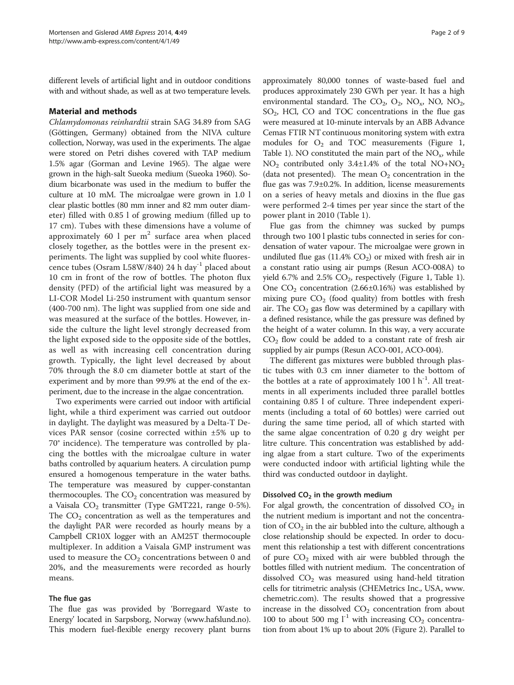different levels of artificial light and in outdoor conditions with and without shade, as well as at two temperature levels.

#### Material and methods

Chlamydomonas reinhardtii strain SAG 34.89 from SAG (Göttingen, Germany) obtained from the NIVA culture collection, Norway, was used in the experiments. The algae were stored on Petri dishes covered with TAP medium 1.5% agar (Gorman and Levine [1965\)](#page-8-0). The algae were grown in the high-salt Sueoka medium (Sueoka [1960](#page-8-0)). Sodium bicarbonate was used in the medium to buffer the culture at 10 mM. The microalgae were grown in 1.0 l clear plastic bottles (80 mm inner and 82 mm outer diameter) filled with 0.85 l of growing medium (filled up to 17 cm). Tubes with these dimensions have a volume of approximately 60 l per  $m<sup>2</sup>$  surface area when placed closely together, as the bottles were in the present experiments. The light was supplied by cool white fluorescence tubes (Osram L58W/840) 24 h day<sup>-1</sup> placed about 10 cm in front of the row of bottles. The photon flux density (PFD) of the artificial light was measured by a LI-COR Model Li-250 instrument with quantum sensor (400-700 nm). The light was supplied from one side and was measured at the surface of the bottles. However, inside the culture the light level strongly decreased from the light exposed side to the opposite side of the bottles, as well as with increasing cell concentration during growth. Typically, the light level decreased by about 70% through the 8.0 cm diameter bottle at start of the experiment and by more than 99.9% at the end of the experiment, due to the increase in the algae concentration.

Two experiments were carried out indoor with artificial light, while a third experiment was carried out outdoor in daylight. The daylight was measured by a Delta-T Devices PAR sensor (cosine corrected within ±5% up to 70° incidence). The temperature was controlled by placing the bottles with the microalgae culture in water baths controlled by aquarium heaters. A circulation pump ensured a homogenous temperature in the water baths. The temperature was measured by cupper-constantan thermocouples. The  $CO<sub>2</sub>$  concentration was measured by a Vaisala  $CO<sub>2</sub>$  transmitter (Type GMT221, range 0-5%). The  $CO<sub>2</sub>$  concentration as well as the temperatures and the daylight PAR were recorded as hourly means by a Campbell CR10X logger with an AM25T thermocouple multiplexer. In addition a Vaisala GMP instrument was used to measure the  $CO<sub>2</sub>$  concentrations between 0 and 20%, and the measurements were recorded as hourly means.

#### The flue gas

The flue gas was provided by 'Borregaard Waste to Energy' located in Sarpsborg, Norway [\(www.hafslund.no](http://www.hafslund.no)). This modern fuel-flexible energy recovery plant burns

approximately 80,000 tonnes of waste-based fuel and produces approximately 230 GWh per year. It has a high environmental standard. The  $CO_2$ ,  $O_2$ ,  $NO_x$ ,  $NO$ ,  $NO_2$ , SO<sub>2</sub>, HCl, CO and TOC concentrations in the flue gas were measured at 10-minute intervals by an ABB Advance Cemas FTIR NT continuous monitoring system with extra modules for  $O_2$  and TOC measurements (Figure [1](#page-2-0), Table [1](#page-3-0)). NO constituted the main part of the  $NO<sub>x</sub>$ , while  $NO<sub>2</sub>$  contributed only 3.4 $\pm$ 1.4% of the total NO+NO<sub>2</sub> (data not presented). The mean  $O_2$  concentration in the flue gas was 7.9±0.2%. In addition, license measurements on a series of heavy metals and dioxins in the flue gas were performed 2-4 times per year since the start of the power plant in 2010 (Table [1\)](#page-3-0).

Flue gas from the chimney was sucked by pumps through two 100 l plastic tubs connected in series for condensation of water vapour. The microalgae were grown in undiluted flue gas  $(11.4\% \text{ CO}_2)$  or mixed with fresh air in a constant ratio using air pumps (Resun ACO-008A) to yield 6.7% and 2.5%  $CO<sub>2</sub>$ , respectively (Figure [1,](#page-2-0) Table [1](#page-3-0)). One  $CO<sub>2</sub>$  concentration (2.66±0.16%) was established by mixing pure  $CO<sub>2</sub>$  (food quality) from bottles with fresh air. The  $CO<sub>2</sub>$  gas flow was determined by a capillary with a defined resistance, while the gas pressure was defined by the height of a water column. In this way, a very accurate  $CO<sub>2</sub>$  flow could be added to a constant rate of fresh air supplied by air pumps (Resun ACO-001, ACO-004).

The different gas mixtures were bubbled through plastic tubes with 0.3 cm inner diameter to the bottom of the bottles at a rate of approximately 100 l  $h^{-1}$ . All treatments in all experiments included three parallel bottles containing 0.85 l of culture. Three independent experiments (including a total of 60 bottles) were carried out during the same time period, all of which started with the same algae concentration of 0.20 g dry weight per litre culture. This concentration was established by adding algae from a start culture. Two of the experiments were conducted indoor with artificial lighting while the third was conducted outdoor in daylight.

#### Dissolved  $CO<sub>2</sub>$  in the growth medium

For algal growth, the concentration of dissolved  $CO<sub>2</sub>$  in the nutrient medium is important and not the concentration of  $CO<sub>2</sub>$  in the air bubbled into the culture, although a close relationship should be expected. In order to document this relationship a test with different concentrations of pure  $CO<sub>2</sub>$  mixed with air were bubbled through the bottles filled with nutrient medium. The concentration of dissolved  $CO<sub>2</sub>$  was measured using hand-held titration cells for titrimetric analysis (CHEMetrics Inc., USA, [www.](http://www.chemetric.com) [chemetric.com\)](http://www.chemetric.com). The results showed that a progressive increase in the dissolved  $CO<sub>2</sub>$  concentration from about 100 to about 500 mg  $l^{-1}$  with increasing  $CO_2$  concentration from about 1% up to about 20% (Figure [2](#page-4-0)). Parallel to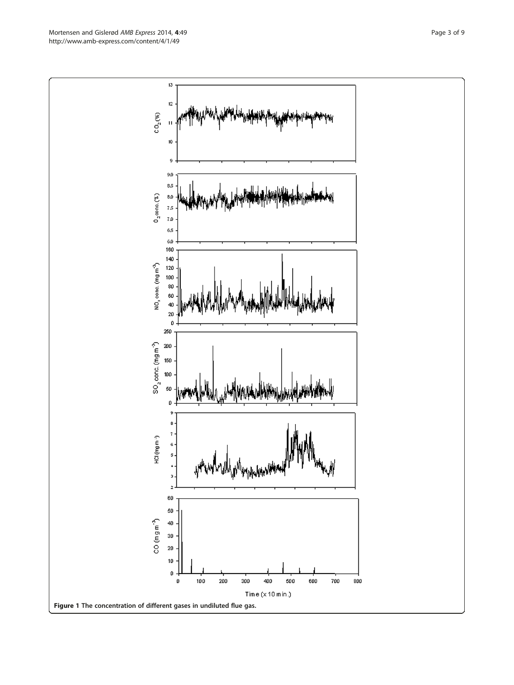<span id="page-2-0"></span>Mortensen and Gislerød AMB Express 2014, 4:49 Page 3 of 9 http://www.amb-express.com/content/4/1/49

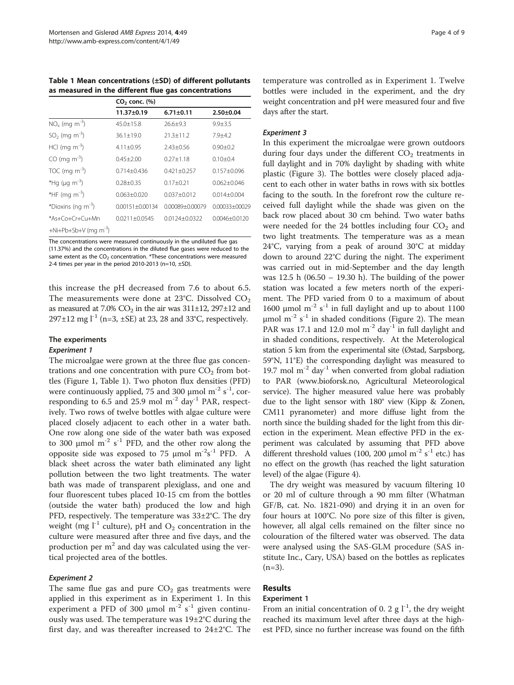<span id="page-3-0"></span>Table 1 Mean concentrations (±SD) of different pollutants as measured in the different flue gas concentrations

|                                     | $CO2$ conc. $(\%)$  |                 |                 |  |  |  |  |
|-------------------------------------|---------------------|-----------------|-----------------|--|--|--|--|
|                                     | $11.37 \pm 0.19$    | $6.71 \pm 0.11$ | $2.50 + 0.04$   |  |  |  |  |
| $NO_x$ (mg m <sup>-3</sup> )        | $45.0 + 15.8$       | $26.6 + 9.3$    | $9.9 + 3.5$     |  |  |  |  |
| $SO_2$ (mg m <sup>-3</sup> )        | $36.1 + 19.0$       | $213+112$       | $7.9 + 4.2$     |  |  |  |  |
| HCl (mg $m^{-3}$ )                  | $4.11 + 0.95$       | $2.43 + 0.56$   | $0.90 + 0.2$    |  |  |  |  |
| $CO$ (mg m <sup>-3</sup> )          | $0.45 + 2.00$       | $027 + 118$     | $0.10 + 0.4$    |  |  |  |  |
| TOC (mg $\text{m}^{-3}$ )           | $0.714 + 0.436$     | $0.421 + 0.257$ | $0.157 + 0.096$ |  |  |  |  |
| *Hg ( $\mu$ g m <sup>-3</sup> )     | $0.28 + 0.35$       | $0.17 + 0.21$   | $0.062 + 0.046$ |  |  |  |  |
| *HF (mg $\text{m}^{-3}$ )           | $0.063 + 0.020$     | $0.037 + 0.012$ | $0.014 + 0.004$ |  |  |  |  |
| *Dioxins (ng $m^{-3}$ )             | $0.00151 + 0.00134$ | 0.00089+0.00079 | 0.00033+00029   |  |  |  |  |
| *As+Co+Cr+Cu+Mn                     | 00211+00545         | 00124+00322     | 00046+00120     |  |  |  |  |
| $+Ni+Pb+Sb+V$ (mg m <sup>-3</sup> ) |                     |                 |                 |  |  |  |  |

The concentrations were measured continuously in the undiluted flue gas (11.37%) and the concentrations in the diluted flue gases were reduced to the same extent as the  $CO<sub>2</sub>$  concentration. \*These concentrations were measured 2-4 times per year in the period 2010-2013 (n=10,  $\pm$ SD).

this increase the pH decreased from 7.6 to about 6.5. The measurements were done at  $23^{\circ}$ C. Dissolved CO<sub>2</sub> as measured at 7.0%  $CO<sub>2</sub>$  in the air was 311 $\pm$ 12, 297 $\pm$ 12 and  $297 \pm 12$  mg l<sup>-1</sup> (n=3,  $\pm$ SE) at 23, 28 and 33°C, respectively.

# The experiments

#### Experiment 1

The microalgae were grown at the three flue gas concentrations and one concentration with pure  $CO<sub>2</sub>$  from bottles (Figure [1,](#page-2-0) Table 1). Two photon flux densities (PFD) were continuously applied, 75 and 300  $\mu$ mol m<sup>-2</sup> s<sup>-1</sup>, corresponding to 6.5 and 25.9 mol  $m^{-2}$  day<sup>-1</sup> PAR, respectively. Two rows of twelve bottles with algae culture were placed closely adjacent to each other in a water bath. One row along one side of the water bath was exposed to 300  $\mu$ mol m<sup>-2</sup> s<sup>-1</sup> PFD, and the other row along the opposite side was exposed to 75  $\mu$ mol m<sup>-2</sup>s<sup>-1</sup> PFD. A black sheet across the water bath eliminated any light pollution between the two light treatments. The water bath was made of transparent plexiglass, and one and four fluorescent tubes placed 10-15 cm from the bottles (outside the water bath) produced the low and high PFD, respectively. The temperature was 33±2°C. The dry weight (mg  $l^{-1}$  culture), pH and  $O_2$  concentration in the culture were measured after three and five days, and the production per  $m<sup>2</sup>$  and day was calculated using the vertical projected area of the bottles.

#### Experiment 2

The same flue gas and pure  $CO<sub>2</sub>$  gas treatments were applied in this experiment as in Experiment 1. In this experiment a PFD of 300  $\mu$ mol m<sup>-2</sup> s<sup>-1</sup> given continuously was used. The temperature was 19±2°C during the first day, and was thereafter increased to 24±2°C. The

temperature was controlled as in Experiment 1. Twelve bottles were included in the experiment, and the dry weight concentration and pH were measured four and five days after the start.

#### Experiment 3

In this experiment the microalgae were grown outdoors during four days under the different  $CO<sub>2</sub>$  treatments in full daylight and in 70% daylight by shading with white plastic (Figure [3\)](#page-5-0). The bottles were closely placed adjacent to each other in water baths in rows with six bottles facing to the south. In the forefront row the culture received full daylight while the shade was given on the back row placed about 30 cm behind. Two water baths were needed for the 24 bottles including four  $CO<sub>2</sub>$  and two light treatments. The temperature was as a mean 24°C, varying from a peak of around 30°C at midday down to around 22°C during the night. The experiment was carried out in mid-September and the day length was 12.5 h (06.50 – 19.30 h). The building of the power station was located a few meters north of the experiment. The PFD varied from 0 to a maximum of about 1600 μmol m<sup>-2</sup> s<sup>-1</sup> in full daylight and up to about 1100 μmol m<sup>-2</sup> s<sup>-1</sup> in shaded conditions (Figure [2\)](#page-4-0). The mean PAR was 17.1 and 12.0 mol  $m^{-2}$  day<sup>-1</sup> in full daylight and in shaded conditions, respectively. At the Meterological station 5 km from the experimental site (Østad, Sarpsborg, 59°N, 11°E) the corresponding daylight was measured to 19.7 mol  $m^{-2}$  day<sup>-1</sup> when converted from global radiation to PAR [\(www.bioforsk.no](http://www.bioforsk.no), Agricultural Meteorological service). The higher measured value here was probably due to the light sensor with 180° view (Kipp & Zonen, CM11 pyranometer) and more diffuse light from the north since the building shaded for the light from this direction in the experiment. Mean effective PFD in the experiment was calculated by assuming that PFD above different threshold values (100, 200  $\mu$ mol m<sup>-2</sup> s<sup>-1</sup> etc.) has no effect on the growth (has reached the light saturation level) of the algae (Figure [4\)](#page-5-0).

The dry weight was measured by vacuum filtering 10 or 20 ml of culture through a 90 mm filter (Whatman GF/B, cat. No. 1821-090) and drying it in an oven for four hours at 100°C. No pore size of this filter is given, however, all algal cells remained on the filter since no colouration of the filtered water was observed. The data were analysed using the SAS-GLM procedure (SAS institute Inc., Cary, USA) based on the bottles as replicates  $(n=3)$ .

# Results

#### Experiment 1

From an initial concentration of 0. 2 g  $1^{-1}$ , the dry weight reached its maximum level after three days at the highest PFD, since no further increase was found on the fifth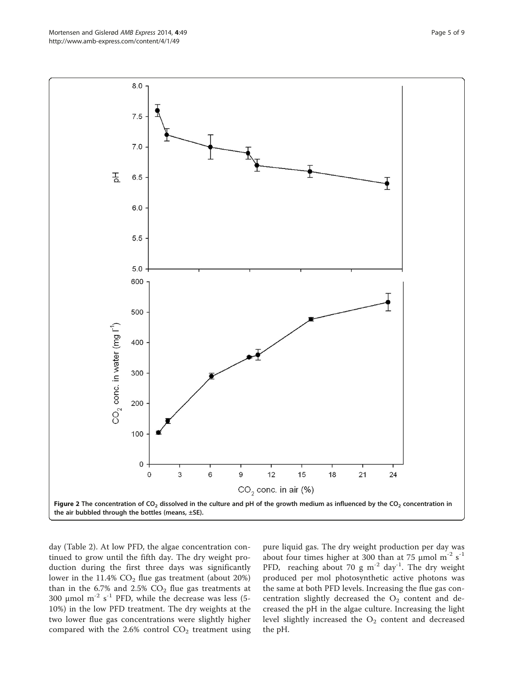<span id="page-4-0"></span>Mortensen and Gislerød AMB Express 2014, 4:49 Page 5 of 9 http://www.amb-express.com/content/4/1/49



day (Table [2\)](#page-6-0). At low PFD, the algae concentration continued to grow until the fifth day. The dry weight production during the first three days was significantly lower in the 11.4%  $CO<sub>2</sub>$  flue gas treatment (about 20%) than in the 6.7% and 2.5%  $CO<sub>2</sub>$  flue gas treatments at 300  $\mu$ mol m<sup>-2</sup> s<sup>-1</sup> PFD, while the decrease was less (5-10%) in the low PFD treatment. The dry weights at the two lower flue gas concentrations were slightly higher compared with the 2.6% control  $CO<sub>2</sub>$  treatment using

pure liquid gas. The dry weight production per day was about four times higher at 300 than at 75  $\mu$ mol m<sup>-2</sup> s<sup>-1</sup> PFD, reaching about 70 g m<sup>-2</sup> day<sup>-1</sup>. The dry weight produced per mol photosynthetic active photons was the same at both PFD levels. Increasing the flue gas concentration slightly decreased the  $O_2$  content and decreased the pH in the algae culture. Increasing the light level slightly increased the  $O<sub>2</sub>$  content and decreased the pH.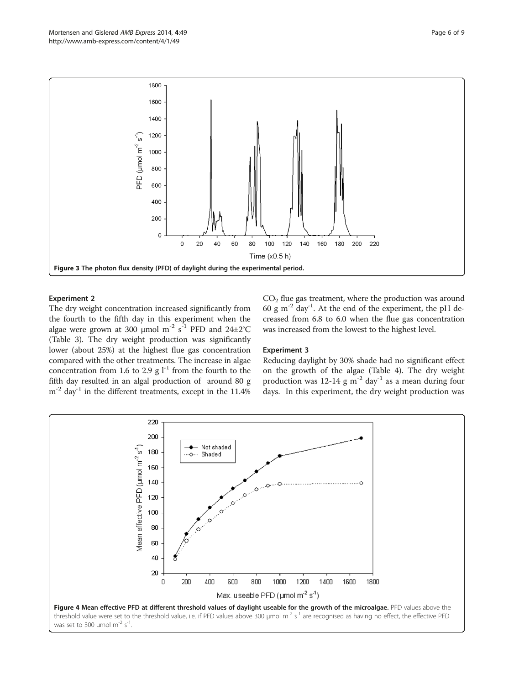<span id="page-5-0"></span>

# Experiment 2

The dry weight concentration increased significantly from the fourth to the fifth day in this experiment when the algae were grown at 300 µmol  $m^{-2}$  s<sup>-1</sup> PFD and 24±2°C (Table [3\)](#page-6-0). The dry weight production was significantly lower (about 25%) at the highest flue gas concentration compared with the other treatments. The increase in algae concentration from 1.6 to 2.9 g  $l^{-1}$  from the fourth to the fifth day resulted in an algal production of around 80 g  $m^{-2}$  day<sup>-1</sup> in the different treatments, except in the 11.4%  $CO<sub>2</sub>$  flue gas treatment, where the production was around 60 g  $\text{m}^{-2}$  day<sup>-1</sup>. At the end of the experiment, the pH decreased from 6.8 to 6.0 when the flue gas concentration was increased from the lowest to the highest level.

# Experiment 3

Reducing daylight by 30% shade had no significant effect on the growth of the algae (Table [4](#page-7-0)). The dry weight production was 12-14 g  $m^{-2}$  day<sup>-1</sup> as a mean during four days. In this experiment, the dry weight production was

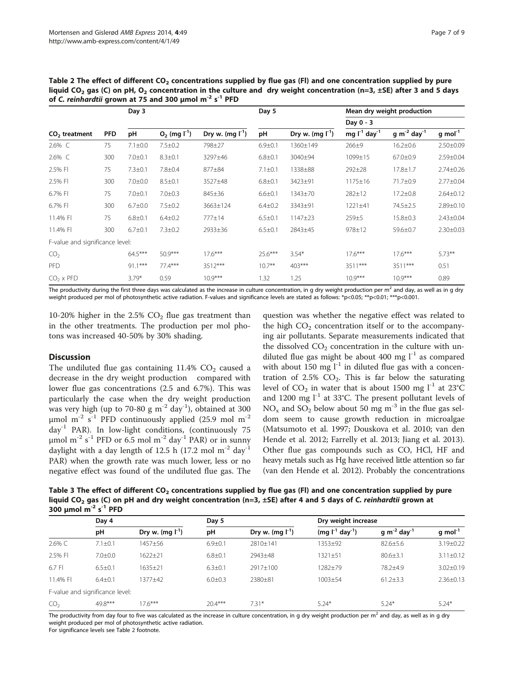|                                 | <b>PFD</b> | 01 C. Tenniurum grown at 75 and 500 pinor in 3 FTD<br>Day 3 |                      | Day 5                |               | Mean dry weight production<br>Day 0 - 3 |                               |                              |                 |
|---------------------------------|------------|-------------------------------------------------------------|----------------------|----------------------|---------------|-----------------------------------------|-------------------------------|------------------------------|-----------------|
|                                 |            |                                                             |                      |                      |               |                                         |                               |                              |                 |
| $CO2$ treatment                 |            | pH                                                          | $O_2$ (mg $I^{-1}$ ) | Dry w. $(mq l^{-1})$ | рH            | Dry w. $(mq_l^1)$                       | mg $I^{-1}$ day <sup>-1</sup> | $g m^{-2}$ day <sup>-1</sup> | g mol $^{-1}$   |
| 2.6% C                          | 75         | $7.1 \pm 0.0$                                               | $7.5 \pm 0.2$        | 798±27               | $6.9 \pm 0.1$ | 1360±149                                | $266 + 9$                     | $16.2 \pm 0.6$               | $2.50 \pm 0.09$ |
| $2.6\%$ C                       | 300        | $7.0 + 0.1$                                                 | $8.3 \pm 0.1$        | 3297±46              | $6.8 \pm 0.1$ | 3040±94                                 | 1099±15                       | $67.0 \pm 0.9$               | 2.59±0.04       |
| 2.5% FI                         | 75         | $7.3 \pm 0.1$                                               | $7.8 \pm 0.4$        | 877±84               | $7.1 \pm 0.1$ | 1338±88                                 | $292 + 28$                    | $17.8 \pm 1.7$               | $2.74 \pm 0.26$ |
| 2.5% FI                         | 300        | $7.0 \pm 0.0$                                               | $8.5 \pm 0.1$        | 3527±48              | $6.8 + 0.1$   | 3423±91                                 | $1175 \pm 16$                 | 71.7±0.9                     | $2.77 \pm 0.04$ |
| 6.7% FI                         | 75         | $7.0 + 0.1$                                                 | $7.0 \pm 0.3$        | 845±36               | $6.6 \pm 0.1$ | 1343±70                                 | 282±12                        | $17.2 \pm 0.8$               | $2.64 \pm 0.12$ |
| 6.7% FI                         | 300        | $6.7 + 0.0$                                                 | $7.5 \pm 0.2$        | 3663±124             | $6.4 \pm 0.2$ | 3343±91                                 | 1221±41                       | 74.5±2.5                     | 2.89±0.10       |
| 11.4% FI                        | 75         | $6.8{\pm}0.1$                                               | $6.4 \pm 0.2$        | $777 \pm 14$         | $6.5 \pm 0.1$ | 1147±23                                 | $259+5$                       | $15.8 \pm 0.3$               | $2.43 \pm 0.04$ |
| 11.4% FI                        | 300        | $6.7 + 0.1$                                                 | $7.3 \pm 0.2$        | 2933±36              | $6.5 \pm 0.1$ | 2843±45                                 | 978±12                        | 59.6±0.7                     | $2.30 \pm 0.03$ |
| F-value and significance level: |            |                                                             |                      |                      |               |                                         |                               |                              |                 |
| CO <sub>2</sub>                 |            | 64.5***                                                     | $50.9***$            | $17.6***$            | 25.6***       | $3.54*$                                 | $17.6***$                     | $17.6***$                    | $5.73***$       |
| <b>PFD</b>                      |            | $91.1***$                                                   | $77.4***$            | $3512***$            | $10.7***$     | $403***$                                | 3511***                       | 3511***                      | 0.51            |
| $CO2 \times PFD$                |            | $3.79*$                                                     | 0.59                 | $10.9***$            | 1.32          | 1.25                                    | $10.9***$                     | $10.9***$                    | 0.89            |

<span id="page-6-0"></span>Table 2 The effect of different  $CO<sub>2</sub>$  concentrations supplied by flue gas (FI) and one concentration supplied by pure liquid CO<sub>2</sub> gas (C) on pH, O<sub>2</sub> concentration in the culture and dry weight concentration (n=3,  $\pm$ SE) after 3 and 5 days of C. *reinhardtii* grown at 75 and 300 μmol m $^{-2}$  s $^{-1}$  PFD

The productivity during the first three days was calculated as the increase in culture concentration, in g dry weight production per  $m<sup>2</sup>$  and day, as well as in g dry weight produced per mol of photosynthetic active radiation. F-values and significance levels are stated as follows: \*p<0.05; \*\*p<0.01; \*\*\*p<0.001.

10-20% higher in the  $2.5\%$  CO<sub>2</sub> flue gas treatment than in the other treatments. The production per mol photons was increased 40-50% by 30% shading.

# **Discussion**

The undiluted flue gas containing  $11.4\%$  CO<sub>2</sub> caused a decrease in the dry weight production compared with lower flue gas concentrations (2.5 and 6.7%). This was particularly the case when the dry weight production was very high (up to 70-80 g  $m^{-2}$  day<sup>-1</sup>), obtained at 300 μmol m<sup>-2</sup> s<sup>-1</sup> PFD continuously applied (25.9 mol m<sup>-2</sup> day-1 PAR). In low-light conditions, (continuously 75 μmol m<sup>-2</sup> s<sup>-1</sup> PFD or 6.5 mol m<sup>-2</sup> day<sup>-1</sup> PAR) or in sunny daylight with a day length of 12.5 h (17.2 mol  $m^{-2}$  day<sup>-1</sup> PAR) when the growth rate was much lower, less or no negative effect was found of the undiluted flue gas. The

question was whether the negative effect was related to the high  $CO<sub>2</sub>$  concentration itself or to the accompanying air pollutants. Separate measurements indicated that the dissolved  $CO<sub>2</sub>$  concentration in the culture with undiluted flue gas might be about 400 mg  $1^{-1}$  as compared with about 150 mg  $l^{-1}$  in diluted flue gas with a concentration of 2.5%  $CO<sub>2</sub>$ . This is far below the saturating level of  $CO_2$  in water that is about 1500 mg  $l^{-1}$  at 23°C and 1200 mg  $l^{-1}$  at 33°C. The present pollutant levels of  $NO<sub>x</sub>$  and  $SO<sub>2</sub>$  below about 50 mg m<sup>-3</sup> in the flue gas seldom seem to cause growth reduction in microalgae (Matsumoto et al. [1997;](#page-8-0) Douskova et al. [2010;](#page-8-0) van den Hende et al. [2012](#page-8-0); Farrelly et al. [2013;](#page-8-0) Jiang et al. [2013](#page-8-0)). Other flue gas compounds such as CO, HCl, HF and heavy metals such as Hg have received little attention so far (van den Hende et al. [2012\)](#page-8-0). Probably the concentrations

Table 3 The effect of different  $CO<sub>2</sub>$  concentrations supplied by flue gas (FI) and one concentration supplied by pure liquid CO<sub>2</sub> gas (C) on pH and dry weight concentration (n=3, ±SE) after 4 and 5 days of C. reinhardtii grown at 300 μmol m<sup>-2</sup> s<sup>-1</sup> PFD

|                 | Day 4                           |                      |               |                      | Dry weight increase    |                                     |                       |
|-----------------|---------------------------------|----------------------|---------------|----------------------|------------------------|-------------------------------------|-----------------------|
|                 | рH                              | Dry w. $(mg l^{-1})$ | рH            | Dry w. $(mq l^{-1})$ | $(mq l^{-1} day^{-1})$ | g m <sup>-2</sup> day <sup>-1</sup> | $q$ mol <sup>-1</sup> |
| 2.6% C          | $7.1 \pm 0.1$                   | 1457±56              | $6.9 \pm 0.1$ | 2810±141             | 1353±92                | $82.6 \pm 5.6$                      | 3.19±0.22             |
| 2.5% FI         | $7.0 \pm 0.0$                   | $1622 + 21$          | $6.8 \pm 0.1$ | 2943±48              | $1321 + 51$            | $80.6 \pm 3.1$                      | $3.11 \pm 0.12$       |
| 6.7 FI          | $6.5 \pm 0.1$                   | $1635 \pm 21$        | $6.3 \pm 0.1$ | $2917 + 100$         | 1282±79                | 78.2+4.9                            | $3.02 \pm 0.19$       |
| 11.4% FI        | $6.4 \pm 0.1$                   | 1377+42              | $6.0 \pm 0.3$ | 2380±81              | $1003 \pm 54$          | $61.2 \pm 3.3$                      | $2.36 \pm 0.13$       |
|                 | F-value and significance level: |                      |               |                      |                        |                                     |                       |
| CO <sub>2</sub> | 49.8***                         | $17.6***$            | $204***$      | $7.31*$              | $5.24*$                | $5.24*$                             | $5.24*$               |

The productivity from day four to five was calculated as the increase in culture concentration, in g dry weight production per  $m<sup>2</sup>$  and day, as well as in g dry weight produced per mol of photosynthetic active radiation.

For significance levels see Table 2 footnote.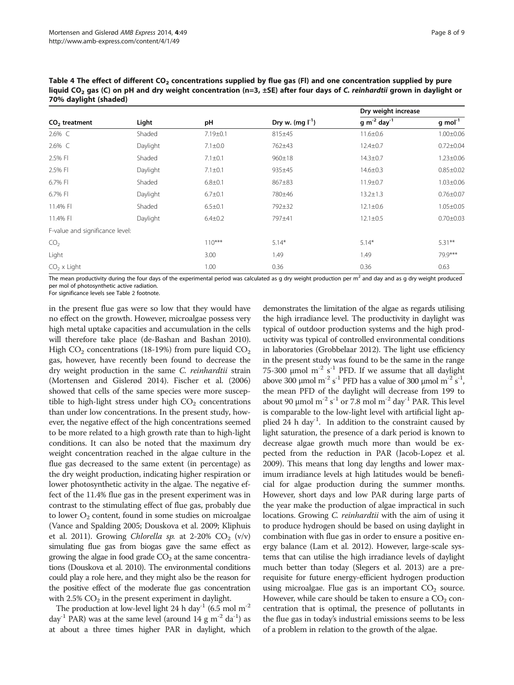<span id="page-7-0"></span>Table 4 The effect of different  $CO<sub>2</sub>$  concentrations supplied by flue gas (FI) and one concentration supplied by pure liquid CO<sub>2</sub> gas (C) on pH and dry weight concentration (n=3,  $\pm$ SE) after four days of C. reinhardtii grown in daylight or 70% daylight (shaded)

|                                 | Light    | pH            |                      | Dry weight increase          |                       |
|---------------------------------|----------|---------------|----------------------|------------------------------|-----------------------|
| $CO2$ treatment                 |          |               | Dry w. $(mq l^{-1})$ | $g m^{-2}$ day <sup>-1</sup> | $g$ mol <sup>-1</sup> |
| 2.6% C                          | Shaded   | 7.19±0.1      | 815±45               | $11.6 \pm 0.6$               | $1.00 \pm 0.06$       |
| 2.6% C                          | Daylight | $7.1 \pm 0.0$ | 762±43               | $12.4 \pm 0.7$               | $0.72 \pm 0.04$       |
| 2.5% FI                         | Shaded   | $7.1 \pm 0.1$ | $960 \pm 18$         | $14.3 \pm 0.7$               | $1.23 \pm 0.06$       |
| 2.5% FI                         | Daylight | $7.1 \pm 0.1$ | 935±45               | $14.6 \pm 0.3$               | $0.85 \pm 0.02$       |
| 6.7% FI                         | Shaded   | $6.8 + 0.1$   | 867±83               | $11.9 \pm 0.7$               | $1.03 \pm 0.06$       |
| 6.7% FI                         | Daylight | $6.7 \pm 0.1$ | 780±46               | $13.2 \pm 1.3$               | $0.76 \pm 0.07$       |
| 11.4% FI                        | Shaded   | $6.5 \pm 0.1$ | 792±32               | $12.1 \pm 0.6$               | $1.05 \pm 0.05$       |
| 11.4% FI                        | Daylight | $6.4 \pm 0.2$ | 797±41               | $12.1 \pm 0.5$               | $0.70 \pm 0.03$       |
| F-value and significance level: |          |               |                      |                              |                       |
| CO <sub>2</sub>                 |          | $110***$      | $5.14*$              | $5.14*$                      | $5.31***$             |
| Light                           |          | 3.00          | 1.49                 | 1.49                         | 79.9***               |
| $CO2 \times Light$              |          | 1.00          | 0.36                 | 0.36                         | 0.63                  |

The mean productivity during the four days of the experimental period was calculated as g dry weight production per  $m<sup>2</sup>$  and day and as g dry weight produced per mol of photosynthetic active radiation.

For significance levels see Table [2](#page-6-0) footnote.

in the present flue gas were so low that they would have no effect on the growth. However, microalgae possess very high metal uptake capacities and accumulation in the cells will therefore take place (de-Bashan and Bashan [2010](#page-8-0)). High  $CO_2$  concentrations (18-19%) from pure liquid  $CO_2$ gas, however, have recently been found to decrease the dry weight production in the same C. reinhardtii strain (Mortensen and Gislerød [2014](#page-8-0)). Fischer et al. [\(2006](#page-8-0)) showed that cells of the same species were more susceptible to high-light stress under high  $CO<sub>2</sub>$  concentrations than under low concentrations. In the present study, however, the negative effect of the high concentrations seemed to be more related to a high growth rate than to high-light conditions. It can also be noted that the maximum dry weight concentration reached in the algae culture in the flue gas decreased to the same extent (in percentage) as the dry weight production, indicating higher respiration or lower photosynthetic activity in the algae. The negative effect of the 11.4% flue gas in the present experiment was in contrast to the stimulating effect of flue gas, probably due to lower  $O_2$  content, found in some studies on microalgae (Vance and Spalding [2005](#page-8-0); Douskova et al. [2009](#page-8-0); Kliphuis et al. [2011\)](#page-8-0). Growing Chlorella sp. at 2-20%  $CO<sub>2</sub>$  (v/v) simulating flue gas from biogas gave the same effect as growing the algae in food grade  $CO<sub>2</sub>$  at the same concentrations (Douskova et al. [2010\)](#page-8-0). The environmental conditions could play a role here, and they might also be the reason for the positive effect of the moderate flue gas concentration with  $2.5\%$  CO<sub>2</sub> in the present experiment in daylight.

The production at low-level light 24 h day<sup>-1</sup> (6.5 mol m<sup>-2</sup>) day<sup>-1</sup> PAR) was at the same level (around 14 g m<sup>-2</sup> da<sup>-1</sup>) as at about a three times higher PAR in daylight, which

demonstrates the limitation of the algae as regards utilising the high irradiance level. The productivity in daylight was typical of outdoor production systems and the high productivity was typical of controlled environmental conditions in laboratories (Grobbelaar [2012\)](#page-8-0). The light use efficiency in the present study was found to be the same in the range 75-300  $\mu$ mol m<sup>-2</sup> s<sup>-1</sup> PFD. If we assume that all daylight above 300 µmol m<sup>-2</sup> s<sup>-1</sup> PFD has a value of 300 µmol m<sup>-2</sup> s<sup>-1</sup>, the mean PFD of the daylight will decrease from 199 to about 90  $\mu$ mol m<sup>-2</sup> s<sup>-1</sup> or 7.8 mol m<sup>-2</sup> day<sup>-1</sup> PAR. This level is comparable to the low-light level with artificial light applied 24 h day<sup>-1</sup>. In addition to the constraint caused by light saturation, the presence of a dark period is known to decrease algae growth much more than would be expected from the reduction in PAR (Jacob-Lopez et al. [2009](#page-8-0)). This means that long day lengths and lower maximum irradiance levels at high latitudes would be beneficial for algae production during the summer months. However, short days and low PAR during large parts of the year make the production of algae impractical in such locations. Growing C. reinhardtii with the aim of using it to produce hydrogen should be based on using daylight in combination with flue gas in order to ensure a positive energy balance (Lam et al. [2012](#page-8-0)). However, large-scale systems that can utilise the high irradiance levels of daylight much better than today (Slegers et al. [2013\)](#page-8-0) are a prerequisite for future energy-efficient hydrogen production using microalgae. Flue gas is an important  $CO<sub>2</sub>$  source. However, while care should be taken to ensure a  $CO<sub>2</sub>$  concentration that is optimal, the presence of pollutants in the flue gas in today's industrial emissions seems to be less of a problem in relation to the growth of the algae.